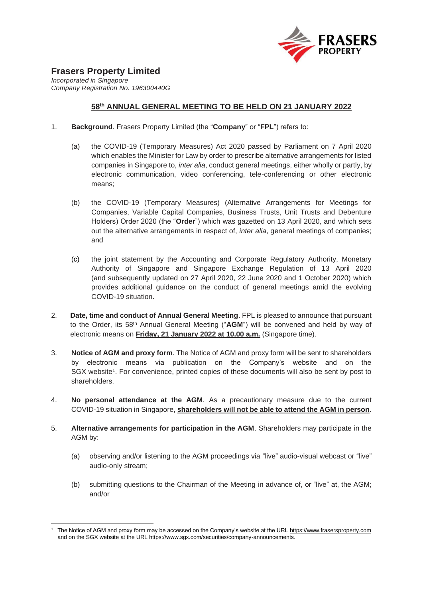

# **Frasers Property Limited**

*Incorporated in Singapore Company Registration No. 196300440G*

## **58th ANNUAL GENERAL MEETING TO BE HELD ON 21 JANUARY 2022**

- 1. **Background**. Frasers Property Limited (the "**Company**" or "**FPL**") refers to:
	- (a) the COVID-19 (Temporary Measures) Act 2020 passed by Parliament on 7 April 2020 which enables the Minister for Law by order to prescribe alternative arrangements for listed companies in Singapore to, *inter alia*, conduct general meetings, either wholly or partly, by electronic communication, video conferencing, tele-conferencing or other electronic means;
	- (b) the COVID-19 (Temporary Measures) (Alternative Arrangements for Meetings for Companies, Variable Capital Companies, Business Trusts, Unit Trusts and Debenture Holders) Order 2020 (the "**Order**") which was gazetted on 13 April 2020, and which sets out the alternative arrangements in respect of, *inter alia*, general meetings of companies; and
	- (c) the joint statement by the Accounting and Corporate Regulatory Authority, Monetary Authority of Singapore and Singapore Exchange Regulation of 13 April 2020 (and subsequently updated on 27 April 2020, 22 June 2020 and 1 October 2020) which provides additional guidance on the conduct of general meetings amid the evolving COVID-19 situation.
- 2. **Date, time and conduct of Annual General Meeting**. FPL is pleased to announce that pursuant to the Order, its 58th Annual General Meeting ("**AGM**") will be convened and held by way of electronic means on **Friday, 21 January 2022 at 10.00 a.m.** (Singapore time).
- 3. **Notice of AGM and proxy form**. The Notice of AGM and proxy form will be sent to shareholders by electronic means via publication on the Company's website and on the SGX website<sup>1</sup>. For convenience, printed copies of these documents will also be sent by post to shareholders.
- 4. **No personal attendance at the AGM**. As a precautionary measure due to the current COVID-19 situation in Singapore, **shareholders will not be able to attend the AGM in person**.
- 5. **Alternative arrangements for participation in the AGM**. Shareholders may participate in the AGM by:
	- (a) observing and/or listening to the AGM proceedings via "live" audio-visual webcast or "live" audio-only stream;
	- (b) submitting questions to the Chairman of the Meeting in advance of, or "live" at, the AGM; and/or

<sup>1</sup> The Notice of AGM and proxy form may be accessed on the Company's website at the URL [https://www.frasersproperty.com](https://www.frasersproperty.com/) and on the SGX website at the URL [https://www.sgx.com/securities/company-announcements.](https://www.sgx.com/securities/company-announcements)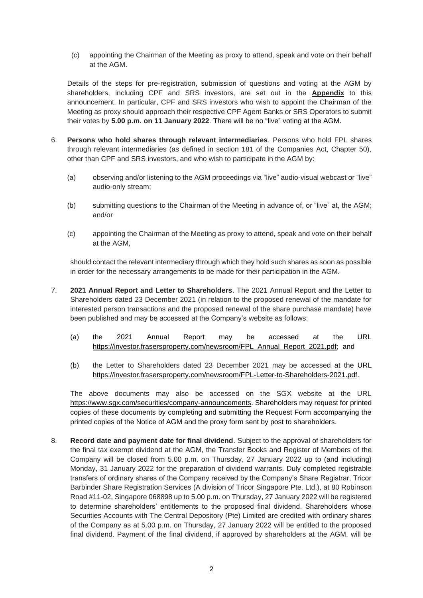(c) appointing the Chairman of the Meeting as proxy to attend, speak and vote on their behalf at the AGM.

Details of the steps for pre-registration, submission of questions and voting at the AGM by shareholders, including CPF and SRS investors, are set out in the **Appendix** to this announcement. In particular, CPF and SRS investors who wish to appoint the Chairman of the Meeting as proxy should approach their respective CPF Agent Banks or SRS Operators to submit their votes by **5.00 p.m. on 11 January 2022**. There will be no "live" voting at the AGM.

- 6. **Persons who hold shares through relevant intermediaries**. Persons who hold FPL shares through relevant intermediaries (as defined in section 181 of the Companies Act, Chapter 50), other than CPF and SRS investors, and who wish to participate in the AGM by:
	- (a) observing and/or listening to the AGM proceedings via "live" audio-visual webcast or "live" audio-only stream;
	- (b) submitting questions to the Chairman of the Meeting in advance of, or "live" at, the AGM; and/or
	- (c) appointing the Chairman of the Meeting as proxy to attend, speak and vote on their behalf at the AGM,

should contact the relevant intermediary through which they hold such shares as soon as possible in order for the necessary arrangements to be made for their participation in the AGM.

- 7. **2021 Annual Report and Letter to Shareholders**. The 2021 Annual Report and the Letter to Shareholders dated 23 December 2021 (in relation to the proposed renewal of the mandate for interested person transactions and the proposed renewal of the share purchase mandate) have been published and may be accessed at the Company's website as follows:
	- (a) the 2021 Annual Report may be accessed at the URL [https://investor.frasersproperty.com/newsroom/FPL\\_Annual\\_Report\\_2021.pdf;](https://investor.frasersproperty.com/newsroom/FPL_Annual_Report_2021.pdf) and
	- (b) the Letter to Shareholders dated 23 December 2021 may be accessed at the URL [https://investor.frasersproperty.com/newsroom/FPL-Letter-to-Shareholders-2021.pdf.](https://investor.frasersproperty.com/newsroom/FPL-Letter-to-Shareholders-2021.pdf)

The above documents may also be accessed on the SGX website at the URL [https://www.sgx.com/securities/company-announcements.](https://www.sgx.com/securities/company-announcements) Shareholders may request for printed copies of these documents by completing and submitting the Request Form accompanying the printed copies of the Notice of AGM and the proxy form sent by post to shareholders.

8. **Record date and payment date for final dividend**. Subject to the approval of shareholders for the final tax exempt dividend at the AGM, the Transfer Books and Register of Members of the Company will be closed from 5.00 p.m. on Thursday, 27 January 2022 up to (and including) Monday, 31 January 2022 for the preparation of dividend warrants. Duly completed registrable transfers of ordinary shares of the Company received by the Company's Share Registrar, Tricor Barbinder Share Registration Services (A division of Tricor Singapore Pte. Ltd.), at 80 Robinson Road #11-02, Singapore 068898 up to 5.00 p.m. on Thursday, 27 January 2022 will be registered to determine shareholders' entitlements to the proposed final dividend. Shareholders whose Securities Accounts with The Central Depository (Pte) Limited are credited with ordinary shares of the Company as at 5.00 p.m. on Thursday, 27 January 2022 will be entitled to the proposed final dividend. Payment of the final dividend, if approved by shareholders at the AGM, will be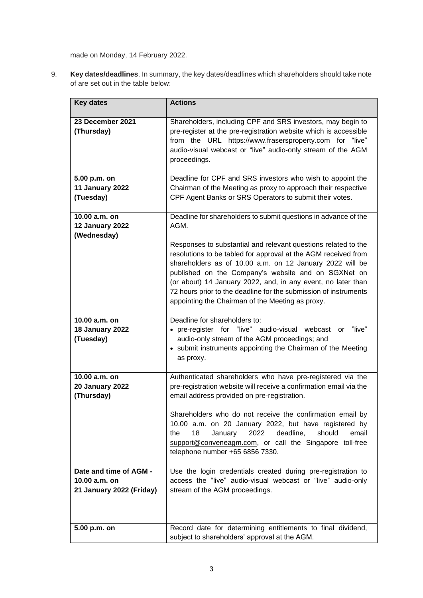made on Monday, 14 February 2022.

9. **Key dates/deadlines**. In summary, the key dates/deadlines which shareholders should take note of are set out in the table below:

| <b>Key dates</b>                                                    | <b>Actions</b>                                                                                                                                                                                                                                                                                                                                                                                                                              |  |  |
|---------------------------------------------------------------------|---------------------------------------------------------------------------------------------------------------------------------------------------------------------------------------------------------------------------------------------------------------------------------------------------------------------------------------------------------------------------------------------------------------------------------------------|--|--|
| 23 December 2021<br>(Thursday)                                      | Shareholders, including CPF and SRS investors, may begin to<br>pre-register at the pre-registration website which is accessible<br>from the URL https://www.frasersproperty.com for "live"<br>audio-visual webcast or "live" audio-only stream of the AGM<br>proceedings.                                                                                                                                                                   |  |  |
| 5.00 p.m. on<br>11 January 2022<br>(Tuesday)                        | Deadline for CPF and SRS investors who wish to appoint the<br>Chairman of the Meeting as proxy to approach their respective<br>CPF Agent Banks or SRS Operators to submit their votes.                                                                                                                                                                                                                                                      |  |  |
| 10.00 $a.m.$ on<br>12 January 2022<br>(Wednesday)                   | Deadline for shareholders to submit questions in advance of the<br>AGM.                                                                                                                                                                                                                                                                                                                                                                     |  |  |
|                                                                     | Responses to substantial and relevant questions related to the<br>resolutions to be tabled for approval at the AGM received from<br>shareholders as of 10.00 a.m. on 12 January 2022 will be<br>published on the Company's website and on SGXNet on<br>(or about) 14 January 2022, and, in any event, no later than<br>72 hours prior to the deadline for the submission of instruments<br>appointing the Chairman of the Meeting as proxy. |  |  |
| 10.00 a.m. on<br>18 January 2022<br>(Tuesday)                       | Deadline for shareholders to:<br>• pre-register for "live" audio-visual webcast or<br>"live"<br>audio-only stream of the AGM proceedings; and<br>• submit instruments appointing the Chairman of the Meeting<br>as proxy.                                                                                                                                                                                                                   |  |  |
| 10.00 $a.m.$ on<br><b>20 January 2022</b><br>(Thursday)             | Authenticated shareholders who have pre-registered via the<br>pre-registration website will receive a confirmation email via the<br>email address provided on pre-registration.                                                                                                                                                                                                                                                             |  |  |
|                                                                     | Shareholders who do not receive the confirmation email by<br>10.00 a.m. on 20 January 2022, but have registered by<br>18<br>January<br>2022<br>deadline,<br>should<br>email<br>the<br>support@conveneagm.com, or call the Singapore toll-free<br>telephone number +65 6856 7330.                                                                                                                                                            |  |  |
| Date and time of AGM -<br>10.00 a.m. on<br>21 January 2022 (Friday) | Use the login credentials created during pre-registration to<br>access the "live" audio-visual webcast or "live" audio-only<br>stream of the AGM proceedings.                                                                                                                                                                                                                                                                               |  |  |
| 5.00 p.m. on                                                        | Record date for determining entitlements to final dividend,<br>subject to shareholders' approval at the AGM.                                                                                                                                                                                                                                                                                                                                |  |  |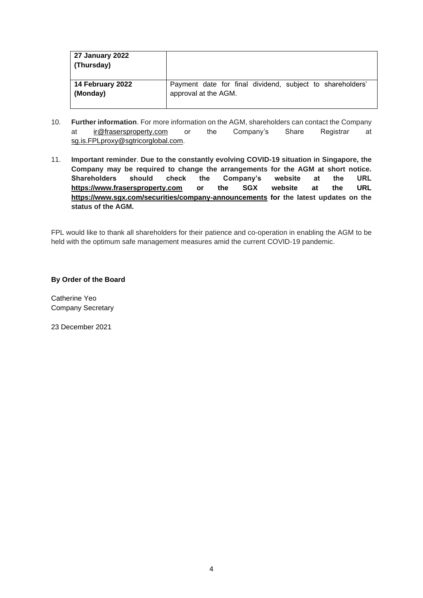| <b>27 January 2022</b><br>(Thursday) |                                                           |
|--------------------------------------|-----------------------------------------------------------|
| 14 February 2022                     | Payment date for final dividend, subject to shareholders' |
| (Monday)                             | approval at the AGM.                                      |

- 10. **Further information**. For more information on the AGM, shareholders can contact the Company at [ir@frasersproperty.com](mailto:ir@frasersproperty.com) or the Company's Share Registrar at [sg.is.FPLproxy@sgtricorglobal.com.](mailto:sg.is.FPLproxy@sgtricorglobal.com)
- 11. **Important reminder**. **Due to the constantly evolving COVID-19 situation in Singapore, the Company may be required to change the arrangements for the AGM at short notice. Shareholders should check the Company's website at the URL [https://www.frasersproperty.com](https://www.frasersproperty.com/) or the SGX website at the URL <https://www.sgx.com/securities/company-announcements> for the latest updates on the status of the AGM.**

FPL would like to thank all shareholders for their patience and co-operation in enabling the AGM to be held with the optimum safe management measures amid the current COVID-19 pandemic.

### **By Order of the Board**

Catherine Yeo Company Secretary

23 December 2021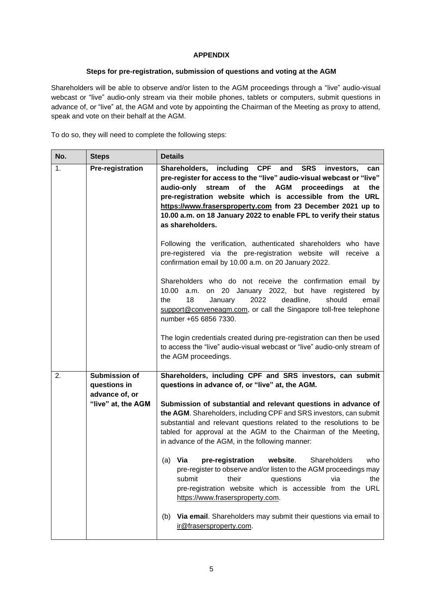### **APPENDIX**

#### **Steps for pre-registration, submission of questions and voting at the AGM**

Shareholders will be able to observe and/or listen to the AGM proceedings through a "live" audio-visual webcast or "live" audio-only stream via their mobile phones, tablets or computers, submit questions in advance of, or "live" at, the AGM and vote by appointing the Chairman of the Meeting as proxy to attend, speak and vote on their behalf at the AGM.

To do so, they will need to complete the following steps:

| No. | <b>Steps</b>                                           | <b>Details</b>                                                                                                                                                                                                                                                                                                                                                                                                                  |  |  |  |
|-----|--------------------------------------------------------|---------------------------------------------------------------------------------------------------------------------------------------------------------------------------------------------------------------------------------------------------------------------------------------------------------------------------------------------------------------------------------------------------------------------------------|--|--|--|
| 1.  | Pre-registration                                       | Shareholders, including CPF and SRS investors, can<br>pre-register for access to the "live" audio-visual webcast or "live"<br>the<br><b>AGM</b><br>audio-only<br>stream<br>оf<br>proceedings<br>the<br>at<br>pre-registration website which is accessible from the URL<br>https://www.frasersproperty.com from 23 December 2021 up to<br>10.00 a.m. on 18 January 2022 to enable FPL to verify their status<br>as shareholders. |  |  |  |
|     |                                                        | Following the verification, authenticated shareholders who have<br>pre-registered via the pre-registration website will receive a<br>confirmation email by 10.00 a.m. on 20 January 2022.                                                                                                                                                                                                                                       |  |  |  |
|     |                                                        | Shareholders who do not receive the confirmation email<br>by<br>on 20 January 2022, but have registered<br>10.00<br>a.m.<br>by<br>18<br>the<br>2022<br>deadline,<br>should<br>January<br>email<br>support@conveneagm.com, or call the Singapore toll-free telephone<br>number +65 6856 7330.                                                                                                                                    |  |  |  |
|     |                                                        | The login credentials created during pre-registration can then be used<br>to access the "live" audio-visual webcast or "live" audio-only stream of<br>the AGM proceedings.                                                                                                                                                                                                                                                      |  |  |  |
| 2.  | <b>Submission of</b><br>questions in<br>advance of, or | Shareholders, including CPF and SRS investors, can submit<br>questions in advance of, or "live" at, the AGM.                                                                                                                                                                                                                                                                                                                    |  |  |  |
|     | "live" at, the AGM                                     | Submission of substantial and relevant questions in advance of<br>the AGM. Shareholders, including CPF and SRS investors, can submit<br>substantial and relevant questions related to the resolutions to be<br>tabled for approval at the AGM to the Chairman of the Meeting,<br>in advance of the AGM, in the following manner:                                                                                                |  |  |  |
|     |                                                        | pre-registration<br>website.<br>Shareholders<br>who<br>$(a)$ Via<br>pre-register to observe and/or listen to the AGM proceedings may<br>submit<br>questions<br>their<br>via<br>the<br>pre-registration website which is accessible from the URL<br>https://www.frasersproperty.com.                                                                                                                                             |  |  |  |
|     |                                                        | Via email. Shareholders may submit their questions via email to<br>(b)<br>ir@frasersproperty.com.                                                                                                                                                                                                                                                                                                                               |  |  |  |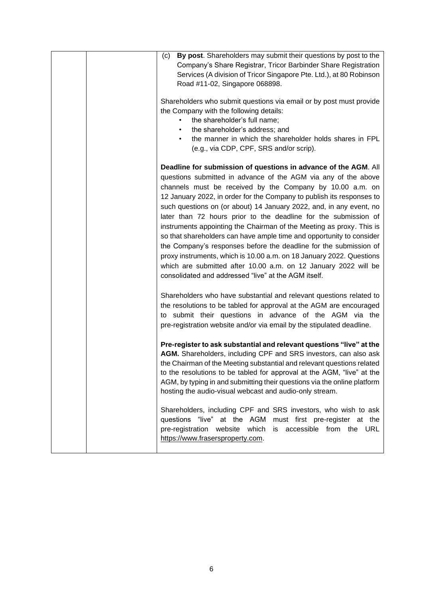| By post. Shareholders may submit their questions by post to the<br>(c)<br>Company's Share Registrar, Tricor Barbinder Share Registration<br>Services (A division of Tricor Singapore Pte. Ltd.), at 80 Robinson<br>Road #11-02, Singapore 068898.                                                                                                                                                                                                                                                                                                                                                                                                                                                                                                                                                                                         |
|-------------------------------------------------------------------------------------------------------------------------------------------------------------------------------------------------------------------------------------------------------------------------------------------------------------------------------------------------------------------------------------------------------------------------------------------------------------------------------------------------------------------------------------------------------------------------------------------------------------------------------------------------------------------------------------------------------------------------------------------------------------------------------------------------------------------------------------------|
| Shareholders who submit questions via email or by post must provide<br>the Company with the following details:<br>the shareholder's full name;<br>the shareholder's address; and<br>the manner in which the shareholder holds shares in FPL<br>(e.g., via CDP, CPF, SRS and/or scrip).                                                                                                                                                                                                                                                                                                                                                                                                                                                                                                                                                    |
| Deadline for submission of questions in advance of the AGM. All<br>questions submitted in advance of the AGM via any of the above<br>channels must be received by the Company by 10.00 a.m. on<br>12 January 2022, in order for the Company to publish its responses to<br>such questions on (or about) 14 January 2022, and, in any event, no<br>later than 72 hours prior to the deadline for the submission of<br>instruments appointing the Chairman of the Meeting as proxy. This is<br>so that shareholders can have ample time and opportunity to consider<br>the Company's responses before the deadline for the submission of<br>proxy instruments, which is 10.00 a.m. on 18 January 2022. Questions<br>which are submitted after 10.00 a.m. on 12 January 2022 will be<br>consolidated and addressed "live" at the AGM itself. |
| Shareholders who have substantial and relevant questions related to<br>the resolutions to be tabled for approval at the AGM are encouraged<br>to submit their questions in advance of the AGM via the<br>pre-registration website and/or via email by the stipulated deadline.                                                                                                                                                                                                                                                                                                                                                                                                                                                                                                                                                            |
| Pre-register to ask substantial and relevant questions "live" at the<br>AGM. Shareholders, including CPF and SRS investors, can also ask<br>the Chairman of the Meeting substantial and relevant questions related<br>to the resolutions to be tabled for approval at the AGM, "live" at the<br>AGM, by typing in and submitting their questions via the online platform<br>hosting the audio-visual webcast and audio-only stream.                                                                                                                                                                                                                                                                                                                                                                                                       |
| Shareholders, including CPF and SRS investors, who wish to ask<br>questions "live" at the AGM<br>must first pre-register at the<br>accessible from the<br>pre-registration website<br>which<br>is<br>URL<br>https://www.frasersproperty.com.                                                                                                                                                                                                                                                                                                                                                                                                                                                                                                                                                                                              |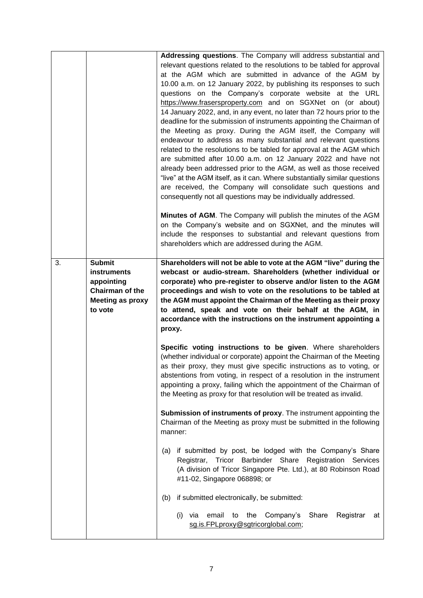|    |                                                                                                            | Addressing questions. The Company will address substantial and<br>relevant questions related to the resolutions to be tabled for approval<br>at the AGM which are submitted in advance of the AGM by<br>10.00 a.m. on 12 January 2022, by publishing its responses to such<br>questions on the Company's corporate website at the URL<br>https://www.frasersproperty.com and on SGXNet on (or about)<br>14 January 2022, and, in any event, no later than 72 hours prior to the<br>deadline for the submission of instruments appointing the Chairman of<br>the Meeting as proxy. During the AGM itself, the Company will<br>endeavour to address as many substantial and relevant questions<br>related to the resolutions to be tabled for approval at the AGM which<br>are submitted after 10.00 a.m. on 12 January 2022 and have not<br>already been addressed prior to the AGM, as well as those received<br>"live" at the AGM itself, as it can. Where substantially similar questions<br>are received, the Company will consolidate such questions and<br>consequently not all questions may be individually addressed.<br>Minutes of AGM. The Company will publish the minutes of the AGM |  |  |
|----|------------------------------------------------------------------------------------------------------------|--------------------------------------------------------------------------------------------------------------------------------------------------------------------------------------------------------------------------------------------------------------------------------------------------------------------------------------------------------------------------------------------------------------------------------------------------------------------------------------------------------------------------------------------------------------------------------------------------------------------------------------------------------------------------------------------------------------------------------------------------------------------------------------------------------------------------------------------------------------------------------------------------------------------------------------------------------------------------------------------------------------------------------------------------------------------------------------------------------------------------------------------------------------------------------------------------|--|--|
|    |                                                                                                            | on the Company's website and on SGXNet, and the minutes will<br>include the responses to substantial and relevant questions from<br>shareholders which are addressed during the AGM.                                                                                                                                                                                                                                                                                                                                                                                                                                                                                                                                                                                                                                                                                                                                                                                                                                                                                                                                                                                                             |  |  |
| 3. | <b>Submit</b><br><b>instruments</b><br>appointing<br>Chairman of the<br><b>Meeting as proxy</b><br>to vote | Shareholders will not be able to vote at the AGM "live" during the<br>webcast or audio-stream. Shareholders (whether individual or<br>corporate) who pre-register to observe and/or listen to the AGM<br>proceedings and wish to vote on the resolutions to be tabled at<br>the AGM must appoint the Chairman of the Meeting as their proxy<br>to attend, speak and vote on their behalf at the AGM, in<br>accordance with the instructions on the instrument appointing a<br>proxy.                                                                                                                                                                                                                                                                                                                                                                                                                                                                                                                                                                                                                                                                                                             |  |  |
|    |                                                                                                            | Specific voting instructions to be given. Where shareholders<br>(whether individual or corporate) appoint the Chairman of the Meeting<br>as their proxy, they must give specific instructions as to voting, or<br>abstentions from voting, in respect of a resolution in the instrument<br>appointing a proxy, failing which the appointment of the Chairman of<br>the Meeting as proxy for that resolution will be treated as invalid.                                                                                                                                                                                                                                                                                                                                                                                                                                                                                                                                                                                                                                                                                                                                                          |  |  |
|    |                                                                                                            | Submission of instruments of proxy. The instrument appointing the<br>Chairman of the Meeting as proxy must be submitted in the following<br>manner:                                                                                                                                                                                                                                                                                                                                                                                                                                                                                                                                                                                                                                                                                                                                                                                                                                                                                                                                                                                                                                              |  |  |
|    |                                                                                                            | if submitted by post, be lodged with the Company's Share<br>(a)<br>Registrar, Tricor Barbinder Share Registration Services<br>(A division of Tricor Singapore Pte. Ltd.), at 80 Robinson Road<br>#11-02, Singapore 068898; or                                                                                                                                                                                                                                                                                                                                                                                                                                                                                                                                                                                                                                                                                                                                                                                                                                                                                                                                                                    |  |  |
|    |                                                                                                            | if submitted electronically, be submitted:<br>(b)<br>email<br>to the<br>Company's<br>Share<br>Registrar<br>(i) via<br>at<br>sg.is.FPLproxy@sgtricorglobal.com;                                                                                                                                                                                                                                                                                                                                                                                                                                                                                                                                                                                                                                                                                                                                                                                                                                                                                                                                                                                                                                   |  |  |